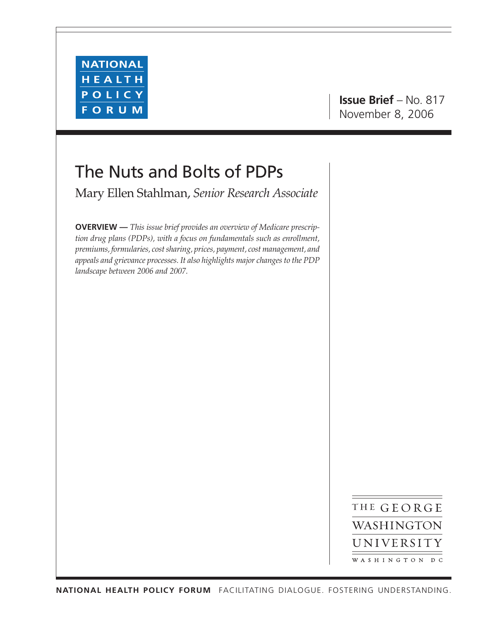

# **Issue Brief** – No. 817 November 8, 2006

# The Nuts and Bolts of PDPs

Mary Ellen Stahlman, *Senior Research Associate*

**OVERVIEW —** *This issue brief provides an overview of Medicare prescription drug plans (PDPs), with a focus on fundamentals such as enrollment, premiums, formularies, cost sharing, prices, payment, cost management, and appeals and grievance processes. It also highlights major changes to the PDP landscape between 2006 and 2007.*

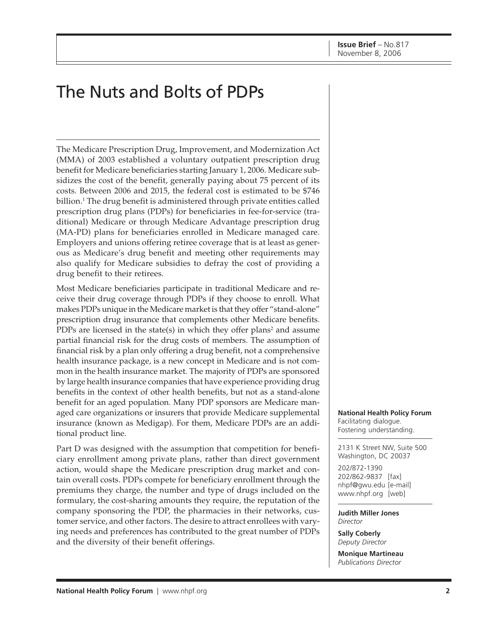# The Nuts and Bolts of PDPs

The Medicare Prescription Drug, Improvement, and Modernization Act (MMA) of 2003 established a voluntary outpatient prescription drug benefit for Medicare beneficiaries starting January 1, 2006. Medicare subsidizes the cost of the benefit, generally paying about 75 percent of its costs. Between 2006 and 2015, the federal cost is estimated to be \$746 billion. $^1$  The drug benefit is administered through private entities called prescription drug plans (PDPs) for beneficiaries in fee-for-service (traditional) Medicare or through Medicare Advantage prescription drug (MA-PD) plans for beneficiaries enrolled in Medicare managed care. Employers and unions offering retiree coverage that is at least as generous as Medicare's drug benefit and meeting other requirements may also qualify for Medicare subsidies to defray the cost of providing a drug benefit to their retirees.

Most Medicare beneficiaries participate in traditional Medicare and receive their drug coverage through PDPs if they choose to enroll. What makes PDPs unique in the Medicare market is that they offer "stand-alone" prescription drug insurance that complements other Medicare benefits. PDPs are licensed in the state(s) in which they offer plans<sup>2</sup> and assume partial financial risk for the drug costs of members. The assumption of financial risk by a plan only offering a drug benefit, not a comprehensive health insurance package, is a new concept in Medicare and is not common in the health insurance market. The majority of PDPs are sponsored by large health insurance companies that have experience providing drug benefits in the context of other health benefits, but not as a stand-alone benefit for an aged population. Many PDP sponsors are Medicare managed care organizations or insurers that provide Medicare supplemental insurance (known as Medigap). For them, Medicare PDPs are an additional product line.

Part D was designed with the assumption that competition for beneficiary enrollment among private plans, rather than direct government action, would shape the Medicare prescription drug market and contain overall costs. PDPs compete for beneficiary enrollment through the premiums they charge, the number and type of drugs included on the formulary, the cost-sharing amounts they require, the reputation of the company sponsoring the PDP, the pharmacies in their networks, customer service, and other factors. The desire to attract enrollees with varying needs and preferences has contributed to the great number of PDPs and the diversity of their benefit offerings.

**National Health Policy Forum** Facilitating dialogue. Fostering understanding.

2131 K Street NW, Suite 500 Washington, DC 20037

202/872-1390 202/862-9837 [fax] [nhpf@gwu.edu \[e](mailto:nhpf@gwu.edu)-mail] [www.nhpf.org \[w](http://www.nhpf.org)eb]

**Judith Miller Jones** *Director*

**Sally Coberly** *Deputy Director*

**Monique Martineau** *Publications Director*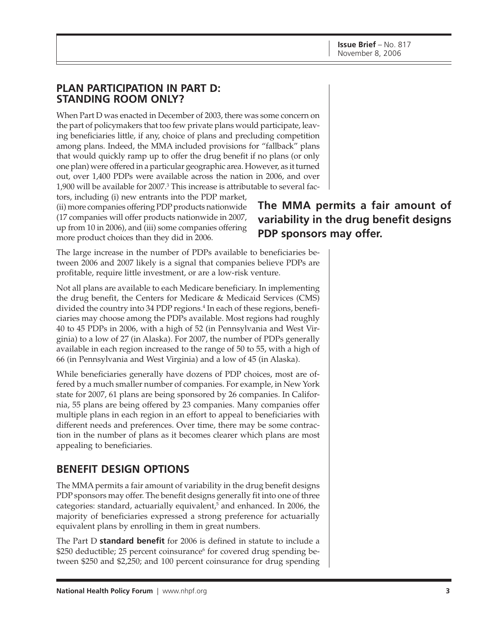## **PLAN PARTICIPATION IN PART D: STANDING ROOM ONLY?**

When Part D was enacted in December of 2003, there was some concern on the part of policymakers that too few private plans would participate, leaving beneficiaries little, if any, choice of plans and precluding competition among plans. Indeed, the MMA included provisions for "fallback" plans that would quickly ramp up to offer the drug benefit if no plans (or only one plan) were offered in a particular geographic area. However, as it turned out, over 1,400 PDPs were available across the nation in 2006, and over  $1,900$  will be available for 2007. $^3$  This increase is attributable to several fac-

tors, including (i) new entrants into the PDP market, (ii) more companies offering PDP products nationwide (17 companies will offer products nationwide in 2007, up from 10 in 2006), and (iii) some companies offering more product choices than they did in 2006.

The large increase in the number of PDPs available to beneficiaries between 2006 and 2007 likely is a signal that companies believe PDPs are profitable, require little investment, or are a low-risk venture.

Not all plans are available to each Medicare beneficiary. In implementing the drug benefit, the Centers for Medicare & Medicaid Services (CMS) divided the country into 34 PDP regions.<sup>4</sup> In each of these regions, beneficiaries may choose among the PDPs available. Most regions had roughly 40 to 45 PDPs in 2006, with a high of 52 (in Pennsylvania and West Virginia) to a low of 27 (in Alaska). For 2007, the number of PDPs generally available in each region increased to the range of 50 to 55, with a high of 66 (in Pennsylvania and West Virginia) and a low of 45 (in Alaska).

While beneficiaries generally have dozens of PDP choices, most are offered by a much smaller number of companies. For example, in New York state for 2007, 61 plans are being sponsored by 26 companies. In California, 55 plans are being offered by 23 companies. Many companies offer multiple plans in each region in an effort to appeal to beneficiaries with different needs and preferences. Over time, there may be some contraction in the number of plans as it becomes clearer which plans are most appealing to beneficiaries.

# **BENEFIT DESIGN OPTIONS**

The MMA permits a fair amount of variability in the drug benefit designs PDP sponsors may offer. The benefit designs generally fit into one of three categories: standard, actuarially equivalent,<sup>5</sup> and enhanced. In 2006, the majority of beneficiaries expressed a strong preference for actuarially equivalent plans by enrolling in them in great numbers.

The Part D **standard benefit** for 2006 is defined in statute to include a  $\$250$  deductible; 25 percent coinsurance $^6$  for covered drug spending between \$250 and \$2,250; and 100 percent coinsurance for drug spending

# **The MMA permits a fair amount of variability in the drug benefit designs PDP sponsors may offer.**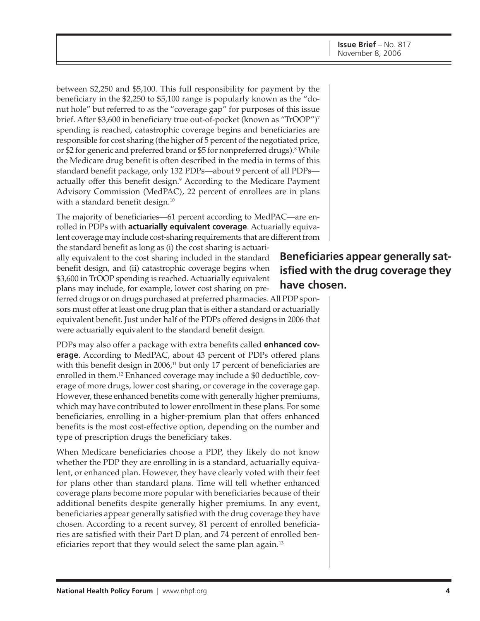between \$2,250 and \$5,100. This full responsibility for payment by the beneficiary in the \$2,250 to \$5,100 range is popularly known as the "donut hole" but referred to as the "coverage gap" for purposes of this issue brief. After \$3,600 in beneficiary true out-of-pocket (known as "TrOOP")7 spending is reached, catastrophic coverage begins and beneficiaries are responsible for cost sharing (the higher of 5 percent of the negotiated price, or \$2 for generic and preferred brand or \$5 for nonpreferred drugs).<sup>8</sup> While the Medicare drug benefit is often described in the media in terms of this standard benefit package, only 132 PDPs—about 9 percent of all PDPs actually offer this benefit design.<sup>9</sup> According to the Medicare Payment Advisory Commission (MedPAC), 22 percent of enrollees are in plans with a standard benefit design.<sup>10</sup>

The majority of beneficiaries—61 percent according to MedPAC—are enrolled in PDPs with **actuarially equivalent coverage**. Actuarially equivalent coverage may include cost-sharing requirements that are different from

the standard benefit as long as (i) the cost sharing is actuarially equivalent to the cost sharing included in the standard benefit design, and (ii) catastrophic coverage begins when \$3,600 in TrOOP spending is reached. Actuarially equivalent plans may include, for example, lower cost sharing on pre-

ferred drugs or on drugs purchased at preferred pharmacies. All PDP sponsors must offer at least one drug plan that is either a standard or actuarially equivalent benefit. Just under half of the PDPs offered designs in 2006 that were actuarially equivalent to the standard benefit design.

PDPs may also offer a package with extra benefits called **enhanced coverage**. According to MedPAC, about 43 percent of PDPs offered plans with this benefit design in  $2006<sup>11</sup>$  but only 17 percent of beneficiaries are enrolled in them.12 Enhanced coverage may include a \$0 deductible, coverage of more drugs, lower cost sharing, or coverage in the coverage gap. However, these enhanced benefits come with generally higher premiums, which may have contributed to lower enrollment in these plans. For some beneficiaries, enrolling in a higher-premium plan that offers enhanced benefits is the most cost-effective option, depending on the number and type of prescription drugs the beneficiary takes.

When Medicare beneficiaries choose a PDP, they likely do not know whether the PDP they are enrolling in is a standard, actuarially equivalent, or enhanced plan. However, they have clearly voted with their feet for plans other than standard plans. Time will tell whether enhanced coverage plans become more popular with beneficiaries because of their additional benefits despite generally higher premiums. In any event, beneficiaries appear generally satisfied with the drug coverage they have chosen. According to a recent survey, 81 percent of enrolled beneficiaries are satisfied with their Part D plan, and 74 percent of enrolled beneficiaries report that they would select the same plan again.<sup>13</sup>

# **Beneficiaries appear generally satisfied with the drug coverage they have chosen.**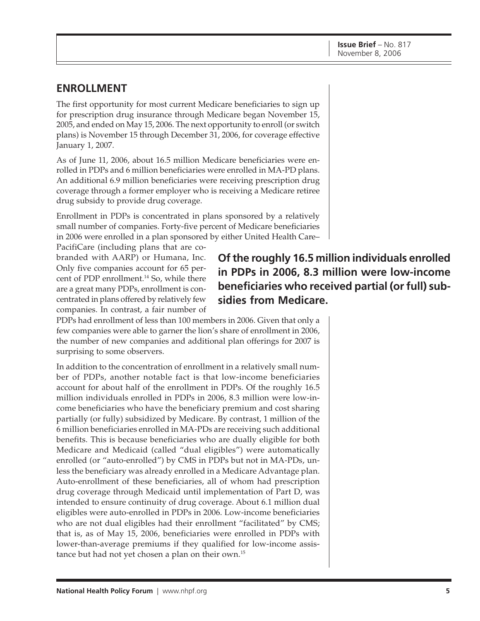# **ENROLLMENT**

The first opportunity for most current Medicare beneficiaries to sign up for prescription drug insurance through Medicare began November 15, 2005, and ended on May 15, 2006. The next opportunity to enroll (or switch plans) is November 15 through December 31, 2006, for coverage effective January 1, 2007.

As of June 11, 2006, about 16.5 million Medicare beneficiaries were enrolled in PDPs and 6 million beneficiaries were enrolled in MA-PD plans. An additional 6.9 million beneficiaries were receiving prescription drug coverage through a former employer who is receiving a Medicare retiree drug subsidy to provide drug coverage.

Enrollment in PDPs is concentrated in plans sponsored by a relatively small number of companies. Forty-five percent of Medicare beneficiaries in 2006 were enrolled in a plan sponsored by either United Health Care–

PacifiCare (including plans that are cobranded with AARP) or Humana, Inc. Only five companies account for 65 percent of PDP enrollment.14 So, while there are a great many PDPs, enrollment is concentrated in plans offered by relatively few companies. In contrast, a fair number of

# **Of the roughly 16.5 million individuals enrolled in PDPs in 2006, 8.3 million were low-income beneficiaries who received partial (or full) subsidies from Medicare.**

PDPs had enrollment of less than 100 members in 2006. Given that only a few companies were able to garner the lion's share of enrollment in 2006, the number of new companies and additional plan offerings for 2007 is surprising to some observers.

In addition to the concentration of enrollment in a relatively small number of PDPs, another notable fact is that low-income beneficiaries account for about half of the enrollment in PDPs. Of the roughly 16.5 million individuals enrolled in PDPs in 2006, 8.3 million were low-income beneficiaries who have the beneficiary premium and cost sharing partially (or fully) subsidized by Medicare. By contrast, 1 million of the 6 million beneficiaries enrolled in MA-PDs are receiving such additional benefits. This is because beneficiaries who are dually eligible for both Medicare and Medicaid (called "dual eligibles") were automatically enrolled (or "auto-enrolled") by CMS in PDPs but not in MA-PDs, unless the beneficiary was already enrolled in a Medicare Advantage plan. Auto-enrollment of these beneficiaries, all of whom had prescription drug coverage through Medicaid until implementation of Part D, was intended to ensure continuity of drug coverage. About 6.1 million dual eligibles were auto-enrolled in PDPs in 2006. Low-income beneficiaries who are not dual eligibles had their enrollment "facilitated" by CMS; that is, as of May 15, 2006, beneficiaries were enrolled in PDPs with lower-than-average premiums if they qualified for low-income assistance but had not yet chosen a plan on their own.15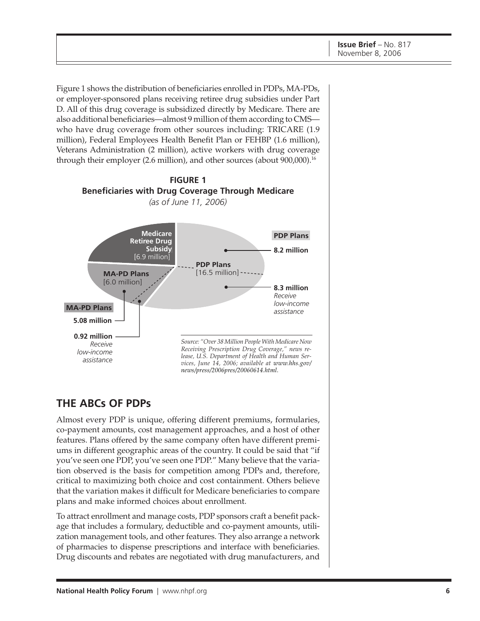Figure 1 shows the distribution of beneficiaries enrolled in PDPs, MA-PDs, or employer-sponsored plans receiving retiree drug subsidies under Part D. All of this drug coverage is subsidized directly by Medicare. There are also additional beneficiaries—almost 9 million of them according to CMS who have drug coverage from other sources including: TRICARE (1.9 million), Federal Employees Health Benefit Plan or FEHBP (1.6 million), Veterans Administration (2 million), active workers with drug coverage through their employer (2.6 million), and other sources (about 900,000).<sup>16</sup>



# **THE ABCs OF PDPs**

Almost every PDP is unique, offering different premiums, formularies, co-payment amounts, cost management approaches, and a host of other features. Plans offered by the same company often have different premiums in different geographic areas of the country. It could be said that "if you've seen one PDP, you've seen one PDP." Many believe that the variation observed is the basis for competition among PDPs and, therefore, critical to maximizing both choice and cost containment. Others believe that the variation makes it difficult for Medicare beneficiaries to compare plans and make informed choices about enrollment.

To attract enrollment and manage costs, PDP sponsors craft a benefit package that includes a formulary, deductible and co-payment amounts, utilization management tools, and other features. They also arrange a network of pharmacies to dispense prescriptions and interface with beneficiaries. Drug discounts and rebates are negotiated with drug manufacturers, and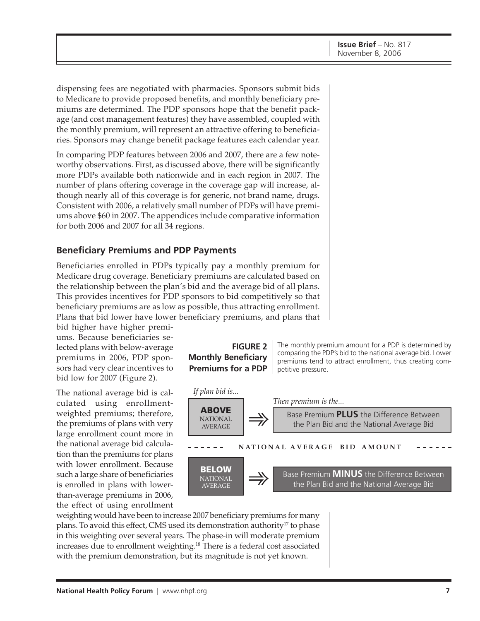dispensing fees are negotiated with pharmacies. Sponsors submit bids to Medicare to provide proposed benefits, and monthly beneficiary premiums are determined. The PDP sponsors hope that the benefit package (and cost management features) they have assembled, coupled with the monthly premium, will represent an attractive offering to beneficiaries. Sponsors may change benefit package features each calendar year.

In comparing PDP features between 2006 and 2007, there are a few noteworthy observations. First, as discussed above, there will be significantly more PDPs available both nationwide and in each region in 2007. The number of plans offering coverage in the coverage gap will increase, although nearly all of this coverage is for generic, not brand name, drugs. Consistent with 2006, a relatively small number of PDPs will have premiums above \$60 in 2007. The appendices include comparative information for both 2006 and 2007 for all 34 regions.

#### **Beneficiary Premiums and PDP Payments**

Beneficiaries enrolled in PDPs typically pay a monthly premium for Medicare drug coverage. Beneficiary premiums are calculated based on the relationship between the plan's bid and the average bid of all plans. This provides incentives for PDP sponsors to bid competitively so that beneficiary premiums are as low as possible, thus attracting enrollment. Plans that bid lower have lower beneficiary premiums, and plans that

bid higher have higher premiums. Because beneficiaries selected plans with below-average premiums in 2006, PDP sponsors had very clear incentives to bid low for 2007 (Figure 2).

The national average bid is calculated using enrollmentweighted premiums; therefore, the premiums of plans with very large enrollment count more in the national average bid calculation than the premiums for plans with lower enrollment. Because such a large share of beneficiaries is enrolled in plans with lowerthan-average premiums in 2006, the effect of using enrollment

### **FIGURE 2 Monthly Beneficiary Premiums for a PDP**

The monthly premium amount for a PDP is determined by comparing the PDP's bid to the national average bid. Lower premiums tend to attract enrollment, thus creating competitive pressure.



weighting would have been to increase 2007 beneficiary premiums for many plans. To avoid this effect, CMS used its demonstration authority<sup>17</sup> to phase in this weighting over several years. The phase-in will moderate premium increases due to enrollment weighting.<sup>18</sup> There is a federal cost associated with the premium demonstration, but its magnitude is not yet known.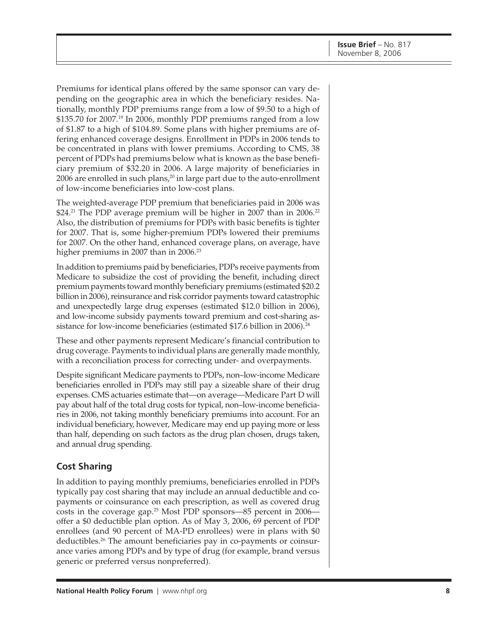Premiums for identical plans offered by the same sponsor can vary depending on the geographic area in which the beneficiary resides. Nationally, monthly PDP premiums range from a low of \$9.50 to a high of  $$135.70$  for 2007.<sup>19</sup> In 2006, monthly PDP premiums ranged from a low of \$1.87 to a high of \$104.89. Some plans with higher premiums are offering enhanced coverage designs. Enrollment in PDPs in 2006 tends to be concentrated in plans with lower premiums. According to CMS, 38 percent of PDPs had premiums below what is known as the base beneficiary premium of \$32.20 in 2006. A large majority of beneficiaries in 2006 are enrolled in such plans, $20$  in large part due to the auto-enrollment of low-income beneficiaries into low-cost plans.

The weighted-average PDP premium that beneficiaries paid in 2006 was \$24.<sup>21</sup> The PDP average premium will be higher in 2007 than in 2006.<sup>22</sup> Also, the distribution of premiums for PDPs with basic benefits is tighter for 2007. That is, some higher-premium PDPs lowered their premiums for 2007. On the other hand, enhanced coverage plans, on average, have higher premiums in 2007 than in 2006.<sup>23</sup>

In addition to premiums paid by beneficiaries, PDPs receive payments from Medicare to subsidize the cost of providing the benefit, including direct premium payments toward monthly beneficiary premiums (estimated \$20.2 billion in 2006), reinsurance and risk corridor payments toward catastrophic and unexpectedly large drug expenses (estimated \$12.0 billion in 2006), and low-income subsidy payments toward premium and cost-sharing assistance for low-income beneficiaries (estimated \$17.6 billion in 2006).<sup>24</sup>

These and other payments represent Medicare's financial contribution to drug coverage. Payments to individual plans are generally made monthly, with a reconciliation process for correcting under- and overpayments.

Despite significant Medicare payments to PDPs, non–low-income Medicare beneficiaries enrolled in PDPs may still pay a sizeable share of their drug expenses. CMS actuaries estimate that—on average—Medicare Part D will pay about half of the total drug costs for typical, non–low-income beneficiaries in 2006, not taking monthly beneficiary premiums into account. For an individual beneficiary, however, Medicare may end up paying more or less than half, depending on such factors as the drug plan chosen, drugs taken, and annual drug spending.

## **Cost Sharing**

In addition to paying monthly premiums, beneficiaries enrolled in PDPs typically pay cost sharing that may include an annual deductible and copayments or coinsurance on each prescription, as well as covered drug costs in the coverage gap.25 Most PDP sponsors—85 percent in 2006 offer a \$0 deductible plan option. As of May 3, 2006, 69 percent of PDP enrollees (and 90 percent of MA-PD enrollees) were in plans with \$0 deductibles.26 The amount beneficiaries pay in co-payments or coinsurance varies among PDPs and by type of drug (for example, brand versus generic or preferred versus nonpreferred).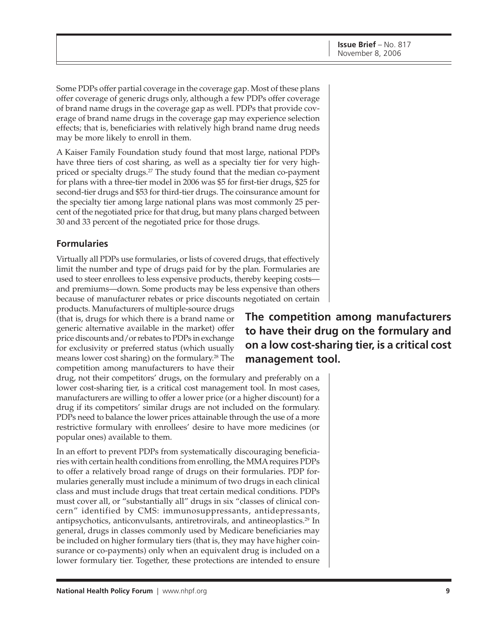Some PDPs offer partial coverage in the coverage gap. Most of these plans offer coverage of generic drugs only, although a few PDPs offer coverage of brand name drugs in the coverage gap as well. PDPs that provide coverage of brand name drugs in the coverage gap may experience selection effects; that is, beneficiaries with relatively high brand name drug needs may be more likely to enroll in them.

A Kaiser Family Foundation study found that most large, national PDPs have three tiers of cost sharing, as well as a specialty tier for very highpriced or specialty drugs.<sup>27</sup> The study found that the median co-payment for plans with a three-tier model in 2006 was \$5 for first-tier drugs, \$25 for second-tier drugs and \$53 for third-tier drugs. The coinsurance amount for the specialty tier among large national plans was most commonly 25 percent of the negotiated price for that drug, but many plans charged between 30 and 33 percent of the negotiated price for those drugs.

### **Formularies**

Virtually all PDPs use formularies, or lists of covered drugs, that effectively limit the number and type of drugs paid for by the plan. Formularies are used to steer enrollees to less expensive products, thereby keeping costs and premiums—down. Some products may be less expensive than others because of manufacturer rebates or price discounts negotiated on certain

products. Manufacturers of multiple-source drugs (that is, drugs for which there is a brand name or generic alternative available in the market) offer price discounts and/or rebates to PDPs in exchange for exclusivity or preferred status (which usually means lower cost sharing) on the formulary.<sup>28</sup> The competition among manufacturers to have their

drug, not their competitors' drugs, on the formulary and preferably on a lower cost-sharing tier, is a critical cost management tool. In most cases, manufacturers are willing to offer a lower price (or a higher discount) for a drug if its competitors' similar drugs are not included on the formulary. PDPs need to balance the lower prices attainable through the use of a more restrictive formulary with enrollees' desire to have more medicines (or popular ones) available to them.

In an effort to prevent PDPs from systematically discouraging beneficiaries with certain health conditions from enrolling, the MMA requires PDPs to offer a relatively broad range of drugs on their formularies. PDP formularies generally must include a minimum of two drugs in each clinical class and must include drugs that treat certain medical conditions. PDPs must cover all, or "substantially all" drugs in six "classes of clinical concern" identified by CMS: immunosuppressants, antidepressants, antipsychotics, anticonvulsants, antiretrovirals, and antineoplastics.29 In general, drugs in classes commonly used by Medicare beneficiaries may be included on higher formulary tiers (that is, they may have higher coinsurance or co-payments) only when an equivalent drug is included on a lower formulary tier. Together, these protections are intended to ensure

# **The competition among manufacturers to have their drug on the formulary and on a low cost-sharing tier, is a critical cost management tool.**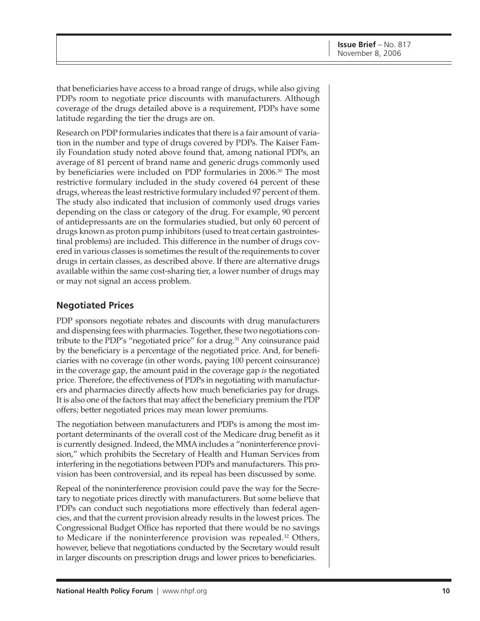that beneficiaries have access to a broad range of drugs, while also giving PDPs room to negotiate price discounts with manufacturers. Although coverage of the drugs detailed above is a requirement, PDPs have some latitude regarding the tier the drugs are on.

Research on PDP formularies indicates that there is a fair amount of variation in the number and type of drugs covered by PDPs. The Kaiser Family Foundation study noted above found that, among national PDPs, an average of 81 percent of brand name and generic drugs commonly used by beneficiaries were included on PDP formularies in 2006.30 The most restrictive formulary included in the study covered 64 percent of these drugs, whereas the least restrictive formulary included 97 percent of them. The study also indicated that inclusion of commonly used drugs varies depending on the class or category of the drug. For example, 90 percent of antidepressants are on the formularies studied, but only 60 percent of drugs known as proton pump inhibitors (used to treat certain gastrointestinal problems) are included. This difference in the number of drugs covered in various classes is sometimes the result of the requirements to cover drugs in certain classes, as described above. If there are alternative drugs available within the same cost-sharing tier, a lower number of drugs may or may not signal an access problem.

### **Negotiated Prices**

PDP sponsors negotiate rebates and discounts with drug manufacturers and dispensing fees with pharmacies. Together, these two negotiations contribute to the PDP's "negotiated price" for a drug.<sup>31</sup> Any coinsurance paid by the beneficiary is a percentage of the negotiated price. And, for beneficiaries with no coverage (in other words, paying 100 percent coinsurance) in the coverage gap, the amount paid in the coverage gap *is* the negotiated price. Therefore, the effectiveness of PDPs in negotiating with manufacturers and pharmacies directly affects how much beneficiaries pay for drugs. It is also one of the factors that may affect the beneficiary premium the PDP offers; better negotiated prices may mean lower premiums.

The negotiation between manufacturers and PDPs is among the most important determinants of the overall cost of the Medicare drug benefit as it is currently designed. Indeed, the MMA includes a "noninterference provision," which prohibits the Secretary of Health and Human Services from interfering in the negotiations between PDPs and manufacturers. This provision has been controversial, and its repeal has been discussed by some.

Repeal of the noninterference provision could pave the way for the Secretary to negotiate prices directly with manufacturers. But some believe that PDPs can conduct such negotiations more effectively than federal agencies, and that the current provision already results in the lowest prices. The Congressional Budget Office has reported that there would be no savings to Medicare if the noninterference provision was repealed.32 Others, however, believe that negotiations conducted by the Secretary would result in larger discounts on prescription drugs and lower prices to beneficiaries.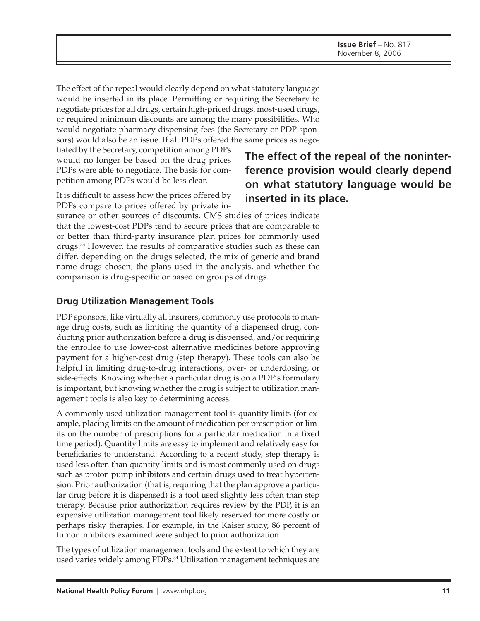The effect of the repeal would clearly depend on what statutory language would be inserted in its place. Permitting or requiring the Secretary to negotiate prices for all drugs, certain high-priced drugs, most-used drugs, or required minimum discounts are among the many possibilities. Who would negotiate pharmacy dispensing fees (the Secretary or PDP sponsors) would also be an issue. If all PDPs offered the same prices as nego-

tiated by the Secretary, competition among PDPs would no longer be based on the drug prices PDPs were able to negotiate. The basis for competition among PDPs would be less clear.

It is difficult to assess how the prices offered by PDPs compare to prices offered by private in-

surance or other sources of discounts. CMS studies of prices indicate that the lowest-cost PDPs tend to secure prices that are comparable to or better than third-party insurance plan prices for commonly used drugs.33 However, the results of comparative studies such as these can differ, depending on the drugs selected, the mix of generic and brand name drugs chosen, the plans used in the analysis, and whether the comparison is drug-specific or based on groups of drugs.

### **Drug Utilization Management Tools**

PDP sponsors, like virtually all insurers, commonly use protocols to manage drug costs, such as limiting the quantity of a dispensed drug, conducting prior authorization before a drug is dispensed, and/or requiring the enrollee to use lower-cost alternative medicines before approving payment for a higher-cost drug (step therapy). These tools can also be helpful in limiting drug-to-drug interactions, over- or underdosing, or side-effects. Knowing whether a particular drug is on a PDP's formulary is important, but knowing whether the drug is subject to utilization management tools is also key to determining access.

A commonly used utilization management tool is quantity limits (for example, placing limits on the amount of medication per prescription or limits on the number of prescriptions for a particular medication in a fixed time period). Quantity limits are easy to implement and relatively easy for beneficiaries to understand. According to a recent study, step therapy is used less often than quantity limits and is most commonly used on drugs such as proton pump inhibitors and certain drugs used to treat hypertension. Prior authorization (that is, requiring that the plan approve a particular drug before it is dispensed) is a tool used slightly less often than step therapy. Because prior authorization requires review by the PDP, it is an expensive utilization management tool likely reserved for more costly or perhaps risky therapies. For example, in the Kaiser study, 86 percent of tumor inhibitors examined were subject to prior authorization.

The types of utilization management tools and the extent to which they are used varies widely among PDPs.<sup>34</sup> Utilization management techniques are

# **The effect of the repeal of the noninterference provision would clearly depend on what statutory language would be inserted in its place.**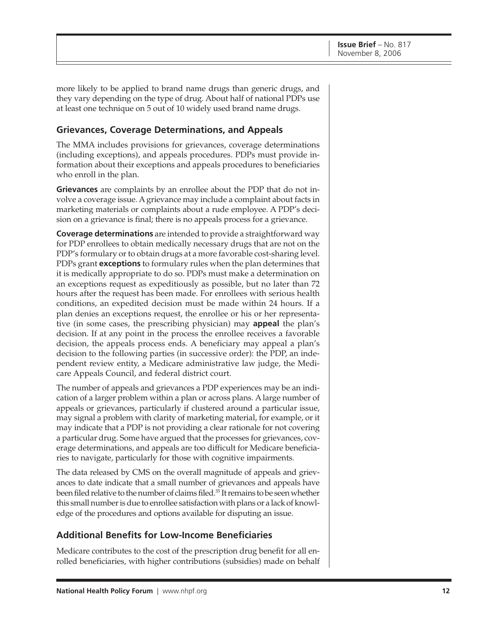more likely to be applied to brand name drugs than generic drugs, and they vary depending on the type of drug. About half of national PDPs use at least one technique on 5 out of 10 widely used brand name drugs.

### **Grievances, Coverage Determinations, and Appeals**

The MMA includes provisions for grievances, coverage determinations (including exceptions), and appeals procedures. PDPs must provide information about their exceptions and appeals procedures to beneficiaries who enroll in the plan.

**Grievances** are complaints by an enrollee about the PDP that do not involve a coverage issue. A grievance may include a complaint about facts in marketing materials or complaints about a rude employee. A PDP's decision on a grievance is final; there is no appeals process for a grievance.

**Coverage determinations** are intended to provide a straightforward way for PDP enrollees to obtain medically necessary drugs that are not on the PDP's formulary or to obtain drugs at a more favorable cost-sharing level. PDPs grant **exceptions** to formulary rules when the plan determines that it is medically appropriate to do so. PDPs must make a determination on an exceptions request as expeditiously as possible, but no later than 72 hours after the request has been made. For enrollees with serious health conditions, an expedited decision must be made within 24 hours. If a plan denies an exceptions request, the enrollee or his or her representative (in some cases, the prescribing physician) may **appeal** the plan's decision. If at any point in the process the enrollee receives a favorable decision, the appeals process ends. A beneficiary may appeal a plan's decision to the following parties (in successive order): the PDP, an independent review entity, a Medicare administrative law judge, the Medicare Appeals Council, and federal district court.

The number of appeals and grievances a PDP experiences may be an indication of a larger problem within a plan or across plans. A large number of appeals or grievances, particularly if clustered around a particular issue, may signal a problem with clarity of marketing material, for example, or it may indicate that a PDP is not providing a clear rationale for not covering a particular drug. Some have argued that the processes for grievances, coverage determinations, and appeals are too difficult for Medicare beneficiaries to navigate, particularly for those with cognitive impairments.

The data released by CMS on the overall magnitude of appeals and grievances to date indicate that a small number of grievances and appeals have been filed relative to the number of claims filed.<sup>35</sup> It remains to be seen whether this small number is due to enrollee satisfaction with plans or a lack of knowledge of the procedures and options available for disputing an issue.

## **Additional Benefits for Low-Income Beneficiaries**

Medicare contributes to the cost of the prescription drug benefit for all enrolled beneficiaries, with higher contributions (subsidies) made on behalf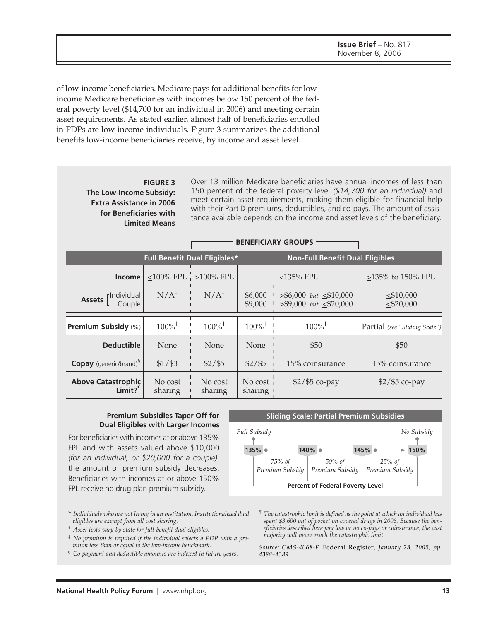of low-income beneficiaries. Medicare pays for additional benefits for lowincome Medicare beneficiaries with incomes below 150 percent of the federal poverty level (\$14,700 for an individual in 2006) and meeting certain asset requirements. As stated earlier, almost half of beneficiaries enrolled in PDPs are low-income individuals. Figure 3 summarizes the additional benefits low-income beneficiaries receive, by income and asset level.

#### **FIGURE 3 The Low-Income Subsidy: Extra Assistance in 2006 for Beneficiaries with Limited Means**

Over 13 million Medicare beneficiaries have annual incomes of less than 150 percent of the federal poverty level *(\$14,700 for an individual)* and meet certain asset requirements, making them eligible for financial help with their Part D premiums, deductibles, and co-pays. The amount of assistance available depends on the income and asset levels of the beneficiary.

|                                                    |                      |                                            |                      | <b>BENEFICIARY GROUPS</b>                                     |                                 |
|----------------------------------------------------|----------------------|--------------------------------------------|----------------------|---------------------------------------------------------------|---------------------------------|
|                                                    |                      | <b>Full Benefit Dual Eligibles*</b>        |                      | <b>Non-Full Benefit Dual Eligibles</b>                        |                                 |
| Income                                             |                      | $\leq 100\%$ FPL $\frac{1}{1} > 100\%$ FPL |                      | $<$ 135% FPL                                                  | >135% to 150% FPL               |
| <b>Assets</b> [Individual<br>Couple                | $N/A^{\dagger}$      | $N/A^{\dagger}$                            | \$6,000<br>\$9,000   | $>$ \$6,000 but $\leq$ \$10,000<br>$> $9,000$ but $< $20,000$ | $\leq$ \$10,000<br>$<$ \$20,000 |
| <b>Premium Subsidy (%)</b>                         | $100\%$ <sup>‡</sup> | $100\%$ <sup>‡</sup>                       | $100\%$ <sup>‡</sup> | $100\%$ <sup>‡</sup>                                          | Partial (see "Sliding Scale")   |
| <b>Deductible</b>                                  | None                 | None                                       | None                 | \$50                                                          | \$50                            |
| Copay (generic/brand) <sup>§</sup>                 | $$1/$ \$3            | $$2/$ \$5                                  | $$2/$ \$5            | 15% coinsurance                                               | 15% coinsurance                 |
| <b>Above Catastrophic</b><br>$Limit?$ <sup>1</sup> | No cost<br>sharing   | No cost<br>sharing                         | No cost<br>sharing   | $$2/$ \$5 co-pay                                              | $$2/$ \$5 co-pay                |

#### **Premium Subsidies Taper Off for Dual Eligibles with Larger Incomes**

For beneficiaries with incomes at or above 135% FPL and with assets valued above \$10,000 *(for an individual, or \$20,000 for a couple)*, the amount of premium subsidy decreases. Beneficiaries with incomes at or above 150% FPL receive no drug plan premium subsidy.

#### **Sliding Scale: Partial Premium Subsidies**



- \* *Individuals who are not living in an institution. Institutionalized dual eligibles are exempt from all cost sharing.*
- † *Asset tests vary by state for full-benefit dual eligibles.*
- ‡ *No premium is required if the individual selects a PDP with a premium less than or equal to the low-income benchmark.*
- § *Co-payment and deductible amounts are indexed in future years.*
- ¶ *The catastrophic limit is defined as the point at which an individual has spent \$3,600 out of pocket on covered drugs in 2006. Because the beneficiaries described here pay low or no co-pays or coinsurance, the vast majority will never reach the catastrophic limit.*

*Source: CMS-4068-F,* Federal Register*, January 28, 2005, pp. 4388–4389.*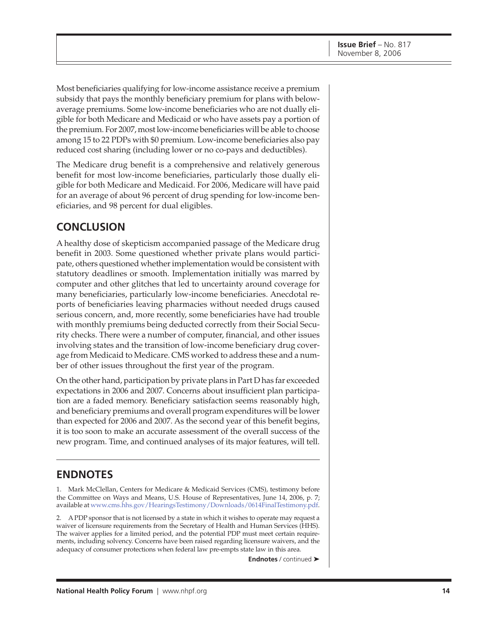Most beneficiaries qualifying for low-income assistance receive a premium subsidy that pays the monthly beneficiary premium for plans with belowaverage premiums. Some low-income beneficiaries who are not dually eligible for both Medicare and Medicaid or who have assets pay a portion of the premium. For 2007, most low-income beneficiaries will be able to choose among 15 to 22 PDPs with \$0 premium. Low-income beneficiaries also pay reduced cost sharing (including lower or no co-pays and deductibles).

The Medicare drug benefit is a comprehensive and relatively generous benefit for most low-income beneficiaries, particularly those dually eligible for both Medicare and Medicaid. For 2006, Medicare will have paid for an average of about 96 percent of drug spending for low-income beneficiaries, and 98 percent for dual eligibles.

# **CONCLUSION**

A healthy dose of skepticism accompanied passage of the Medicare drug benefit in 2003. Some questioned whether private plans would participate, others questioned whether implementation would be consistent with statutory deadlines or smooth. Implementation initially was marred by computer and other glitches that led to uncertainty around coverage for many beneficiaries, particularly low-income beneficiaries. Anecdotal reports of beneficiaries leaving pharmacies without needed drugs caused serious concern, and, more recently, some beneficiaries have had trouble with monthly premiums being deducted correctly from their Social Security checks. There were a number of computer, financial, and other issues involving states and the transition of low-income beneficiary drug coverage from Medicaid to Medicare. CMS worked to address these and a number of other issues throughout the first year of the program.

On the other hand, participation by private plans in Part D has far exceeded expectations in 2006 and 2007. Concerns about insufficient plan participation are a faded memory. Beneficiary satisfaction seems reasonably high, and beneficiary premiums and overall program expenditures will be lower than expected for 2006 and 2007. As the second year of this benefit begins, it is too soon to make an accurate assessment of the overall success of the new program. Time, and continued analyses of its major features, will tell.

# **ENDNOTES**

1. Mark McClellan, Centers for Medicare & Medicaid Services (CMS), testimony before the Committee on Ways and Means, U.S. House of Representatives, June 14, 2006, p. 7; available at [www.cms.hhs.gov/HearingsTestimony/Downloads/0614FinalTestimony.pdf.](http://www.cms.hhs.gov/HearingsTestimony/Downloads/0614FinalTestimony.pdf)

2. A PDP sponsor that is not licensed by a state in which it wishes to operate may request a waiver of licensure requirements from the Secretary of Health and Human Services (HHS). The waiver applies for a limited period, and the potential PDP must meet certain requirements, including solvency. Concerns have been raised regarding licensure waivers, and the adequacy of consumer protections when federal law pre-empts state law in this area.

**Endnotes** / continued ➤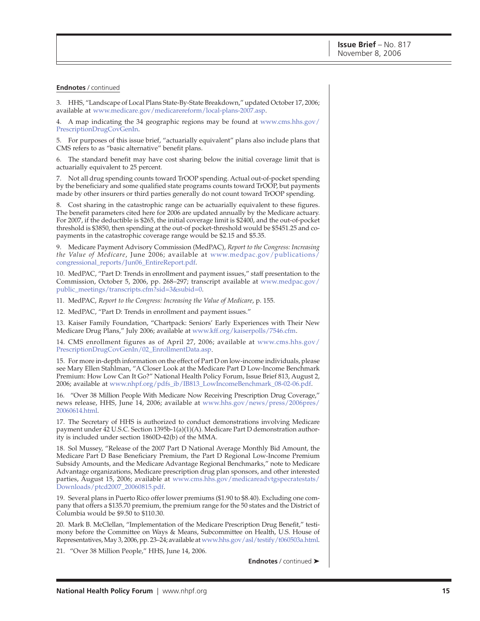#### **Endnotes** / continued

3. HHS, "Landscape of Local Plans State-By-State Breakdown," updated October 17, 2006; available at [www.medicare.gov/medicarereform/local-plans-2007.asp.](http://www.medicare.gov/medicarereform/local-plans-2007.asp)

[4. A map indicating the 34 geographic regions may be found at www.cms.hhs.gov/](http://www.cms.hhs.gov/PrescriptionDrugCovGenIn) PrescriptionDrugCovGenIn.

5. For purposes of this issue brief, "actuarially equivalent" plans also include plans that CMS refers to as "basic alternative" benefit plans.

6. The standard benefit may have cost sharing below the initial coverage limit that is actuarially equivalent to 25 percent.

7. Not all drug spending counts toward TrOOP spending. Actual out-of-pocket spending by the beneficiary and some qualified state programs counts toward TrOOP, but payments made by other insurers or third parties generally do not count toward TrOOP spending.

8. Cost sharing in the catastrophic range can be actuarially equivalent to these figures. The benefit parameters cited here for 2006 are updated annually by the Medicare actuary. For 2007, if the deductible is \$265, the initial coverage limit is \$2400, and the out-of-pocket threshold is \$3850, then spending at the out-of pocket-threshold would be \$5451.25 and copayments in the catastrophic coverage range would be \$2.15 and \$5.35.

9. Medicare Payment Advisory Commission (MedPAC), *Report to the Congress: Increasing the Value of Medicare*[, June 2006; available at www.medpac.gov/publications/](http://www.medpac.gov/publications/congressional_reports/Jun06_EntireReport.pdf) congressional\_reports/Jun06\_EntireReport.pdf.

10. MedPAC, "Part D: Trends in enrollment and payment issues," staff presentation to the [Commission, October 5, 2006, pp. 268–297; transcript available at www.medpac.gov/](http://www.medpac.gov/public_meetings/transcripts.cfm?sid=3&subid=0) public\_meetings/transcripts.cfm?sid=3&subid=0.

11. MedPAC, *Report to the Congress: Increasing the Value of Medicare*, p. 155.

12. MedPAC, "Part D: Trends in enrollment and payment issues."

13. Kaiser Family Foundation, "Chartpack: Seniors' Early Experiences with Their New Medicare Drug Plans," July 2006; available at [www.kff.org/kaiserpolls/7546.cfm.](http://www.kff.org/kaiserpolls/7546.cfm)

[14. CMS enrollment figures as of April 27, 2006; available at www.cms.hhs.gov/](http://www.cms.hhs.gov/PrescriptionDrugCovGenIn/02_EnrollmentData.asp) PrescriptionDrugCovGenIn/02\_EnrollmentData.asp.

15. For more in-depth information on the effect of Part D on low-income individuals, please see Mary Ellen Stahlman, "A Closer Look at the Medicare Part D Low-Income Benchmark Premium: How Low Can It Go?" National Health Policy Forum, Issue Brief 813, August 2, 2006; available at [www.nhpf.org/pdfs\\_ib/IB813\\_LowIncomeBenchmark\\_08-02-06.pdf.](http://www.nhpf.org/pdfs_ib/IB813_LowIncomeBenchmark_08-02-06.pdf)

16. "Over 38 Million People With Medicare Now Receiving Prescription Drug Coverage," [news release, HHS, June 14, 2006; available at www.hhs.gov/news/press/2006pres/](http://www.hhs.gov/news/press/2006pres/20060614.html) 20060614.html.

17. The Secretary of HHS is authorized to conduct demonstrations involving Medicare payment under 42 U.S.C. Section 1395b-1(a)(1)(A). Medicare Part D demonstration authority is included under section 1860D-42(b) of the MMA.

18. Sol Mussey, "Release of the 2007 Part D National Average Monthly Bid Amount, the Medicare Part D Base Beneficiary Premium, the Part D Regional Low-Income Premium Subsidy Amounts, and the Medicare Advantage Regional Benchmarks," note to Medicare Advantage organizations, Medicare prescription drug plan sponsors, and other interested [parties, August 15, 2006; available at www.cms.hhs.gov/medicareadvtgspecratestats/](http://www.cms.hhs.gov/medicareadvtgspecratestats/Downloads/ptcd2007_20060815.pdf) Downloads/ptcd2007\_20060815.pdf.

19. Several plans in Puerto Rico offer lower premiums (\$1.90 to \$8.40). Excluding one company that offers a \$135.70 premium, the premium range for the 50 states and the District of Columbia would be \$9.50 to \$110.30.

20. Mark B. McClellan, "Implementation of the Medicare Prescription Drug Benefit," testimony before the Committee on Ways & Means, Subcommittee on Health, U.S. House of Representatives, May 3, 2006, pp. 23–24; available at [www.hhs.gov/asl/testify/t060503a.html.](http://www.hhs.gov/asl/testify/t060503a.html)

21. "Over 38 Million People," HHS, June 14, 2006.

**Endnotes** / continued ➤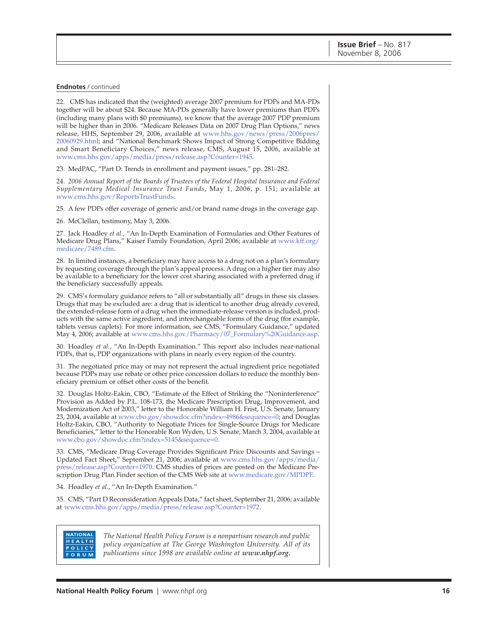**Endnotes** / continued

22. CMS has indicated that the (weighted) average 2007 premium for PDPs and MA-PDs together will be about \$24. Because MA-PDs generally have lower premiums than PDPs (including many plans with \$0 premiums), we know that the average 2007 PDP premium will be higher than in 2006. "Medicare Releases Data on 2007 Drug Plan Options," news [release, HHS, September 29, 2006, available at www.hhs.gov/news/press/2006pres/](http://www.hhs.gov/news/press/2006pres/20060929.html) 20060929.html; and "National Benchmark Shows Impact of Strong Competitive Bidding and Smart Beneficiary Choices," news release, CMS, August 15, 2006, available at [www.cms.hhs.gov/apps/media/press/release.asp?Counter=1945.](http://www.cms.hhs.gov/apps/media/press/release.asp?Counter=1945)

23. MedPAC, "Part D: Trends in enrollment and payment issues," pp. 281–282.

24. *2006 Annual Report of the Boards of Trustees of the Federal Hospital Insurance and Federal Supplementary Medical Insurance Trust Funds*, May 1, 2006, p. 151; available at [www.cms.hhs.gov/ReportsTrustFunds.](http://www.cms.hhs.gov/ReportsTrustFunds)

25. A few PDPs offer coverage of generic and/or brand name drugs in the coverage gap.

26. McClellan, testimony, May 3, 2006.

27. Jack Hoadley *et al.*, "An In-Depth Examination of Formularies and Other Features of [Medicare Drug Plans," Kaiser Family Foundation, April 2006; available at www.kff.org/](http://www.kff.org/medicare/7489.cfm) medicare/7489.cfm.

28. In limited instances, a beneficiary may have access to a drug not on a plan's formulary by requesting coverage through the plan's appeal process. A drug on a higher tier may also be available to a beneficiary for the lower cost sharing associated with a preferred drug if the beneficiary successfully appeals.

29. CMS's formulary guidance refers to "all or substantially all" drugs in these six classes. Drugs that may be excluded are: a drug that is identical to another drug already covered, the extended-release form of a drug when the immediate-release version is included, products with the same active ingredient, and interchangeable forms of the drug (for example, tablets versus caplets). For more information, see CMS, "Formulary Guidance," updated May 4, 2006; available at [www.cms.hhs.gov/Pharmacy/07\\_Formulary%20Guidance.asp.](http://www.cms.hhs.gov/Pharmacy/07_Formulary%20Guidance.asp)

30. Hoadley *et al.*, "An In-Depth Examination." This report also includes near-national PDPs, that is, PDP organizations with plans in nearly every region of the country.

31. The negotiated price may or may not represent the actual ingredient price negotiated because PDPs may use rebate or other price concession dollars to reduce the monthly beneficiary premium or offset other costs of the benefit.

32. Douglas Holtz-Eakin, CBO, "Estimate of the Effect of Striking the "Noninterference" Provision as Added by P.L. 108-173, the Medicare Prescription Drug, Improvement, and Modernization Act of 2003," letter to the Honorable William H. Frist, U.S. Senate, January 23, 2004, available at [www.cbo.gov/showdoc.cfm?index=4986&sequence=0;](http://www.cbo.gov/showdoc.cfm?index=4986&sequence=0) and Douglas Holtz-Eakin, CBO, "Authority to Negotiate Prices for Single-Source Drugs for Medicare Beneficiaries," letter to the Honorable Ron Wyden, U.S. Senate, March 3, 2004, available at [www.cbo.gov/showdoc.cfm?index=5145&sequence=0.](http://www.cbo.gov/showdoc.cfm?index=5145&sequence=0)

33. CMS, "Medicare Drug Coverage Provides Significant Price Discounts and Savings – [Updated Fact Sheet," September 21, 2006; available at www.cms.hhs.gov/apps/media/](http://www.cms.hhs.gov/apps/media/press/release.asp?Counter=1970) press/release.asp?Counter=1970. CMS studies of prices are posted on the Medicare Prescription Drug Plan Finder section of the CMS Web site at [www.medicare.gov/MPDPF.](http://www.medicare.gov/MPDPF)

34. Hoadley *et al*., "An In-Depth Examination."

35. CMS, "Part D Reconsideration Appeals Data," fact sheet, September 21, 2006; available at [www.cms.hhs.gov/apps/media/press/release.asp?Counter=1972.](http://www.cms.hhs.gov/apps/media/press/release.asp?Counter=1972)

#### **NATIONAL HEALTH** POLICY **FORUM**

*The National Health Policy Forum is a nonpartisan research and public policy organization at The George Washington University. All of its publications since 1998 are available online at [www.nhpf.org.](http://www.nhpf.org)*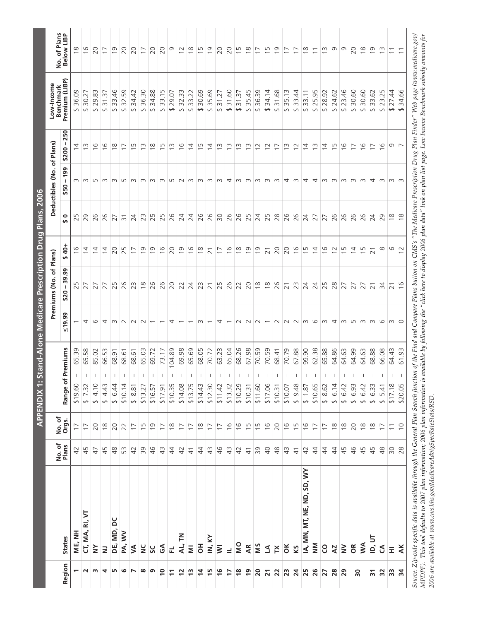|                          |                                                                                    |                    |                 | <b>APPENDIX 1:</b>                                             |             | Stand-Alone Medicare Prescription Drug Plans, 2006 |                     |                |                            |                          |                                                                                                                            |                            |
|--------------------------|------------------------------------------------------------------------------------|--------------------|-----------------|----------------------------------------------------------------|-------------|----------------------------------------------------|---------------------|----------------|----------------------------|--------------------------|----------------------------------------------------------------------------------------------------------------------------|----------------------------|
|                          |                                                                                    | No.of              |                 |                                                                |             | Premiums (No. of Plans)                            |                     |                | Deductibles (No. of Plans) |                          | Low-Income<br><b>Benchmark</b>                                                                                             |                            |
| Region                   | <b>States</b>                                                                      | Plans              | No. of<br>Orgs. | Premiums<br>Range of                                           | 50.90       | ၜၟ<br>စ္က<br>-1<br>\$20                            | $\frac{40}{7}$<br>۰ | 0<br><b>SA</b> | 199<br>п.<br>\$50          | 250<br>-1<br>\$200       | Premium (LIBP)                                                                                                             | No. of Plans<br>Below LIBP |
|                          | ME, NH                                                                             | $\overline{4}$     | $\overline{1}$  | 65.39<br>\$19.60                                               |             | S                                                  | ဖ                   | S<br>$\sim$    | m                          | 4                        | 36.09<br>$\leftrightarrow$                                                                                                 | $\frac{8}{1}$              |
| $\sim$                   | CT, MA, RI, VT                                                                     | 45                 | $\overline{1}$  | 65.58<br>$\overline{\phantom{a}}$<br>\$7.32                    | 4           | 27                                                 | $\overline{4}$      | 29             | $\infty$                   | m                        | 30.27<br>$\leftrightarrow$                                                                                                 | $\frac{6}{2}$              |
| m                        | $\geq$                                                                             | $\overline{4}$     | 20              | 85.02<br>\$4.10                                                | G           |                                                    | 4                   | 26             | m                          | 9                        | m<br>29.83<br>$\rightarrow$                                                                                                | 20                         |
| 4                        | $\geq$                                                                             | 45                 | $\frac{8}{1}$   | 66.53<br>\$4.43                                                | 4           |                                                    | 14                  | 26             | m                          | ဖ                        | ِس<br>س<br>$\overline{3}$<br>$\Theta$                                                                                      | $\overline{1}$             |
| LO <sub>1</sub>          | DE, MD, DC                                                                         | $\frac{8}{3}$      | 20              | 68.91<br>\$6.44                                                | m           | LN                                                 | 20                  | 27             | m                          | $\infty$                 | $\frac{6}{4}$<br>33.<br>$\rightarrow$                                                                                      | $\overline{0}$             |
| G                        | PA, WV                                                                             | 53                 | 22              | 68.61<br>\$10.14                                               | $\sim$      | 26                                                 | FU<br>$\sim$        | $\overline{5}$ | L                          | $\overline{\phantom{0}}$ | 59<br>32.<br>$\rightarrow$                                                                                                 | 20                         |
| $\overline{\phantom{0}}$ | ≶                                                                                  | 42                 | $\overline{1}$  | 68.61<br>\$8.81                                                | $\sim$      | 23                                                 | $\overline{1}$      | 24             | m                          | S                        | 34.42<br>$\rightarrow$                                                                                                     | 20                         |
| $\infty$                 | $\frac{C}{Z}$                                                                      | 39                 | $\overline{1}$  | 65.03<br>\$13.27                                               | $\sim$      | $\frac{8}{10}$                                     | $\overline{0}$      | 23             | m                          | m                        | 36.30<br>$\leftrightarrow$                                                                                                 | $\overline{1}$             |
| G                        | SC                                                                                 | $\frac{1}{2}$      | $\overline{0}$  | 69.72<br>\$16.57                                               |             | 26                                                 | $\overline{0}$      | Б<br>$\sim$    | m                          | $\infty$                 | 34.88<br>↔                                                                                                                 | 20                         |
| $\overline{1}$           | $\mathfrak{F}$                                                                     | $\frac{1}{2}$      | $\overline{1}$  | 73.17<br>$\mathbf{I}$<br>\$17.91                               |             | 26                                                 | $\frac{6}{1}$       | IJ<br>$\sim$   | ന                          | m                        | 33.15<br>$\leftrightarrow$                                                                                                 | 20                         |
| $\Xi$                    | 군                                                                                  | $\ddot{4}$         | $\frac{8}{1}$   | 104.89<br>$\mathbf{I}$<br>\$10.35                              | 4           | 20                                                 | 20                  | 26             | LO                         | m                        | S.<br>29.<br>$\rightarrow$                                                                                                 | σ                          |
| $\overline{2}$           | AL, TN                                                                             | 42                 | $\overline{1}$  | 69.98<br>$\overline{1}$<br>\$14.08                             |             | 22                                                 | $\overline{0}$      | 24             | $\sim$                     | 9                        | 32.33<br>↔                                                                                                                 | $\overline{c}$             |
| $\frac{1}{2}$            | $\bar{z}$                                                                          | $\frac{4}{3}$      | $\overline{1}$  | 65.69<br>$\mathbf{I}$<br>\$13.75                               |             | 24                                                 | $\frac{6}{1}$       | 24             | $\sim$                     | $\overline{4}$           | 33.22<br>$\leftrightarrow$                                                                                                 | $\frac{8}{2}$              |
| $\overline{4}$           | $\overline{5}$                                                                     | $\ddot{4}$         | $\frac{8}{10}$  | 68.05<br>1<br>\$14.43                                          | m           | W<br>$\sim$                                        | $\frac{8}{10}$      | 26             | m                          | m                        | 30.69<br>$\rightarrow$                                                                                                     | $\overline{1}$             |
| $\overline{15}$          | IN, KY                                                                             | $\frac{1}{2}$      | $\overline{1}$  | 70.72<br>-1<br>\$12.30                                         |             | $\overline{2}1$                                    | $\overline{21}$     | 26             | m                          | 4                        | 35.69<br>$\rightarrow$                                                                                                     | $\overline{0}$             |
| $\frac{6}{5}$            | $\overline{\mathsf{S}}$                                                            | $\frac{4}{6}$      | $\overline{1}$  | 63.23<br>т<br>\$11.42                                          | 4           | Б<br>$\sim$                                        | $\overline{1}$      | $\approx$      | m                          | m                        | 31.27<br>$\rightarrow$                                                                                                     | 20                         |
| 17                       | $\equiv$                                                                           | $\frac{1}{2}$      | $\frac{6}{1}$   | 65.04<br>$\mathbf{I}$<br>\$13.32                               |             | 26                                                 | $\frac{6}{1}$       | 26             | 4                          | m                        | 31.60<br>$\rightarrow$                                                                                                     | 20                         |
| $\frac{8}{2}$            | <b>SM</b>                                                                          | $\overline{4}$     | $\frac{6}{1}$   | 68.26<br>$\mathbf{I}$<br>\$10.29                               | $\sim$      | 22                                                 | $\frac{8}{10}$      | 26             | m                          | m                        | 31.37<br>$\rightarrow$                                                                                                     | $\overline{15}$            |
| $\overline{1}$           | AR                                                                                 | $\frac{4}{3}$      | 15              | 67.98<br>$\overline{\phantom{a}}$<br>\$10.31                   | $\sim$      | 20                                                 | $\overline{0}$      | 25             | m                          | m                        | 35.45<br>$\rightarrow$                                                                                                     | $\frac{8}{1}$              |
| $\overline{20}$          | SIN                                                                                | δg                 | $\overline{15}$ | 70.59<br>$\mathbf{I}$<br>\$11.60                               | $\sim$      | $\frac{8}{10}$                                     | $\overline{0}$      | 24             | m                          | $\sim$                   | 36.39<br>$\rightarrow$                                                                                                     | $\overline{1}$             |
| $\overline{21}$          | Z                                                                                  | $\Theta$           | $\frac{6}{1}$   | 70.59<br>$\perp$<br>\$17.06                                    |             | $\frac{8}{1}$                                      | $\overline{21}$     | 25             | m                          | $\sim$                   | 34.14<br>$\rightarrow$                                                                                                     | m                          |
| $\overline{2}$           | $\mathsf{X}$                                                                       | $\frac{8}{3}$      | 20              | 68.41<br>\$10.31                                               | $\sim$      | 26                                                 | 20                  | 28             | m                          | $\overline{\phantom{1}}$ | 31.68<br>$\rightarrow$                                                                                                     | $\overline{0}$             |
| 23                       | $\breve{\sigma}$                                                                   | $\frac{4}{3}$      | $\frac{6}{1}$   | 70.79<br>$\mathbf{I}$<br>\$10.07                               | $\sim$      | $\overline{21}$                                    | 20                  | 26             | 4                          | m                        | 35.13<br>$\leftrightarrow$                                                                                                 | $\overline{1}$             |
| $\overline{a}$           | KS                                                                                 | $\frac{4}{3}$      | 15              | 67.88<br>т<br>\$9.48                                           | $\sim$      | 23                                                 | $\frac{6}{1}$       | 26             | m                          | $\supseteq$              | 4<br>33.<br>$\rightarrow$                                                                                                  | $\overline{1}$             |
| 25                       | IA, MN, MT, NE, ND, SD, WY                                                         | 42                 | $\frac{6}{2}$   | 99.90<br>$\mathbf{I}$<br>\$1.87                                | m           | 24                                                 | 15                  | 24             | 4                          | $\overline{4}$           | 33.11<br>$\rightarrow$                                                                                                     | $\frac{8}{10}$             |
| 26                       | $\sum_{i=1}^{n}$                                                                   | $\ddot{4}$         | $\overline{1}$  | 62.38<br>$\mathbf{I}$<br>\$10.65                               | $\circ$     | 24                                                 | $\overline{4}$      | 27             | 4                          | $\frac{3}{2}$            | 25.95<br>$\leftrightarrow$                                                                                                 | $\overline{\phantom{0}}$   |
| 27                       | <b>CO</b>                                                                          | $\ddot{4}$         | $\overline{1}$  | 65.88<br>\$8.62                                                | m           | 25                                                 | $\frac{6}{2}$       | 27             | m                          | $\overline{4}$           | 28.92<br>$\leftrightarrow$                                                                                                 | $\tilde{\Xi}$              |
| 28                       | AZ                                                                                 | 4                  | $\approx$       | 64.86<br>6.14<br>$\leftrightarrow$                             | 4           | 28                                                 | $\overline{c}$      | 26             | m                          | Б                        | 24.62<br>$\rightarrow$                                                                                                     | Ō                          |
| 29                       | $\geq$                                                                             | 45                 | $\approx$       | 64.63<br>$\overline{\phantom{a}}$<br>6.42<br>$\leftrightarrow$ | $\infty$    | 27                                                 | $\overline{1}$      | 26             | m                          | $\frac{6}{2}$            | 23.46<br>$\leftrightarrow$                                                                                                 | Ō                          |
| 50                       | $\epsilon$                                                                         | $\frac{4}{6}$      | 20              | 64.99<br>$\mid$<br>6.93<br>$\leftrightarrow$                   | L           | 27                                                 | $\overline{4}$      | 26             | m                          | $\overline{1}$           | 30.60<br>$\rightarrow$                                                                                                     | 20                         |
|                          | <b>NW</b>                                                                          | 45                 | $\approx$       | 64.63<br>$\mathbf{I}$<br>6.42<br>$\leftrightarrow$             | $\sim$      | 27                                                 | $\overline{1}$      | 26             | m                          | ဖ                        | 30.60<br>$\rightarrow$                                                                                                     | $\frac{8}{1}$              |
| $\overline{\mathbf{r}}$  | ID, UT                                                                             | 45                 | $\frac{8}{10}$  | 68.88<br>\$6.33                                                | $\omega$    | $\overline{2}1$                                    | $\overline{21}$     | 24             | 4                          | $\overline{1}$           | 33.62<br>$\leftrightarrow$                                                                                                 | $\overline{0}$             |
| 32                       | $\mathfrak S$                                                                      | $\frac{\infty}{4}$ | $\overline{1}$  | 66.08<br>\$5.41                                                | G           | 34                                                 | $\infty$            | 29             | m                          | $\frac{6}{2}$            | 23.25<br>$\rightarrow$                                                                                                     | $\frac{1}{2}$              |
| $33\,$                   | Ξ                                                                                  | $\infty$           | $\overline{1}$  | 64.43<br>\$17.18                                               | $m$ $\circ$ | $\overline{2}1$                                    | 6                   | $\frac{8}{10}$ | $m \, m$                   | $\circ$ $\sim$           | 27.44<br>$\rightarrow$                                                                                                     | $\overline{1}$             |
| $\frac{1}{2}$            | $\overline{A}$ K                                                                   | 28                 | $\supseteq$     | 61.93<br>\$20.05                                               |             | $\frac{6}{1}$                                      | 12                  | $\frac{8}{1}$  |                            |                          | 34.66<br>$\leftrightarrow$                                                                                                 |                            |
|                          | Source: Zip-code specific data is available through the General Plan Search functi |                    |                 |                                                                |             |                                                    |                     |                |                            |                          | ion of the Find and Compare Plans button on CMS's "The Medicare Prescription Drug Plan Finder" Web page (www.medicare.gov/ |                            |
| $\overline{\phantom{a}}$ | $\sim$<br>$\frac{1}{1}$                                                            |                    | $\sim$          | $\ddot{\phantom{0}}$<br>$\overline{\phantom{0}}$               |             |                                                    | $\tilde{\zeta}$     |                |                            |                          |                                                                                                                            |                            |

*[MPDPF\).](http://www.medicare.gov/MPDPF) This tool defaults to 2007 plan information; 2006 plan information is available by following the "click here to display 2006 plan data" link on plan list page. Low Income Benchmark subsidy amounts for 2006 are available at [www.cms.hhs.gov/MedicareAdvtgSpecRateStats/RSD.](http://www.cms.hhs.gov/MedicareAdvtgSpecRateStats/RSD)*